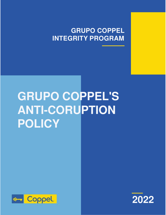# **GRUPO COPPEL INTEGRITY PROGRAM**

# **GRUPO COPPEL'S ANTI-CORUPTION POLICY**



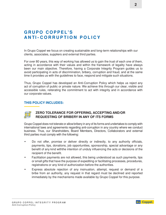# **G R U P O C O P P E L ' S A N TI - C O R R U P T I O N P O L I C Y**

In Grupo Coppel we focus on creating sustainable and long-term relationships with our clients, associates, suppliers and external third parties.

For over 80 years, this way of working has allowed us to gain the trust of each one of them, acting in accordance with their values and within the framework of legality have always been our main objective. Therefore, having a Corporate Integrity Program guides us to avoid participating in acts of discrimination, bribery, corruption and fraud, and at the same time it provides us with the guidelines to face, respond and mitigate such situations.

Thus, Grupo Coppel has developed an Anti-Corruption Policy which helps us reject any act of corruption of public or private nature. We achieve this through our clear, visible and accessible rules, reiterating the commitment to act with integrity and in accordance with our corporate values.

#### **THIS POLICY INCLUDES:**



#### **ZERO TOLERANCE FOR OFFERING, ACCEPTING AND/OR REQUESTING OF BRIBERY IN ANY OF ITS FORMS**

Grupo Coppel does not tolerate or allowbribery in any of its forms and undertakes to comply with international laws and agreements regarding anti-corruption in any country where we conduct business. Thus, our Shareholders, Board Members, Directors, Collaborators and external third parties must comply with the following:

- Do not offer, promise or deliver directly or indirectly, to any authority officials, payments, tips, donations, job opportunities, sponsorship, special advantage or any benefit of any kind withthe intention of unduly influencing the acts or decisions of the recipient of the benefit.
- Facilitation payments are not allowed, this being understood as such payments, tips or small gifts that have the purpose of expediting or facilitating processes, procedures, registrations or any kind of authorization before the authorities.
- Express absolute rejection of any insinuation, attempt, request or demand of a bribe from an authority, any request in that regard must be declined and reported immediately by the mechanisms made available by Grupo Coppel for this purpose.

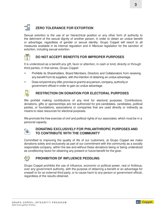# **ZERO TOLERANCE FOR EXTORTION**

Sexual extortion is the use of an hierarchical position or any other form of authority to the detriment of the sexual dignity of another person, in order to obtain an undue benefit or advantage, regardless of gender or sexual identity. Grupo Coppel will resort to all measures available in its internal regulation and in Mexican legislation for the sanction of extortion, including sexual extortion.

## **DO NOT ACCEPT BENEFITS FOR IMPROPER PURPOSES**

It is understood as a benefit any gift, favor or attention, in cash or kind, directly or through third parties, in that sense, Grupo Coppel:

- Prohibits its Shareholders, Board Members, Directors and Collaborators from receiving any benefit from its suppliers, with the intention of obtaining an undue advantage.
- Does not permit any offer, promise or grant to any person, company, authority or government official in order to gain an undue advantage.



#### **RESTRICTION ON DONATION FOR ELECTORAL PURPOSES**

We prohibit making contributions of any kind for electoral purposes. Contributions, donations, gifts or sponsorships are not authorized for pre-candidates, candidates, political parties, or foundations, associations or companies that are used directly or indirectly as means to raise resources for electoral purposes.

We promote the free exercise of civil and political rights of our associates, which must be in a personal capacity.



#### **DONATING EXCLUSIVELY FOR PHILANTHROPIC PURPOSES AND TO CONTRIBUTE WITH THE COMMUNITY**

Committed to improving the quality of life of our customers, at Grupo Coppel we make donations solely and exclusively as part of our commitment with the community as a socially responsible company, within the law and without these donations being or being understood as conditioning factor for obtaining any present or future benefit for the giver.



#### **PROHIBITION OF INFLUENCE PEDDLING**

Grupo Coppel prohibits the use of influence, economic or political power, real or fictitious, over any government authority, with the purpose of obtaining a benefit or an advantage for oneself or for an external third party, or to cause harm to any person or government official, regardless of the results obtained.